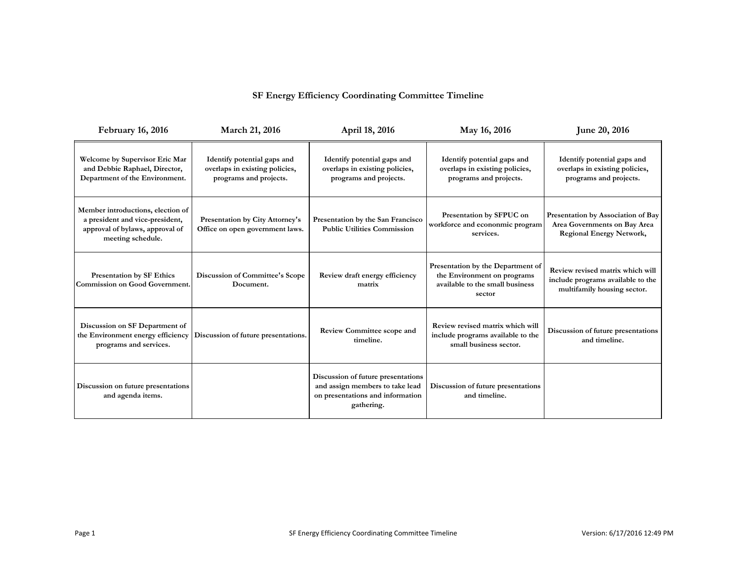## **SF Energy Efficiency Coordinating Committee Timeline**

| <b>February 16, 2016</b>                                                                                                     | March 21, 2016                                                                          | April 18, 2016                                                                                                          | May 16, 2016                                                                                                  | June 20, 2016                                                                                         |
|------------------------------------------------------------------------------------------------------------------------------|-----------------------------------------------------------------------------------------|-------------------------------------------------------------------------------------------------------------------------|---------------------------------------------------------------------------------------------------------------|-------------------------------------------------------------------------------------------------------|
| Welcome by Supervisor Eric Mar<br>and Debbie Raphael, Director,<br>Department of the Environment.                            | Identify potential gaps and<br>overlaps in existing policies,<br>programs and projects. | Identify potential gaps and<br>overlaps in existing policies,<br>programs and projects.                                 | Identify potential gaps and<br>overlaps in existing policies,<br>programs and projects.                       | Identify potential gaps and<br>overlaps in existing policies,<br>programs and projects.               |
| Member introductions, election of<br>a president and vice-president,<br>approval of bylaws, approval of<br>meeting schedule. | Presentation by City Attorney's<br>Office on open government laws.                      | Presentation by the San Francisco<br><b>Public Utilities Commission</b>                                                 | Presentation by SFPUC on<br>workforce and econonmic program<br>services.                                      | Presentation by Association of Bay<br>Area Governments on Bay Area<br><b>Regional Energy Network,</b> |
| <b>Presentation by SF Ethics</b><br>Commission on Good Government.                                                           | Discussion of Committee's Scope<br>Document.                                            | Review draft energy efficiency<br>matrix                                                                                | Presentation by the Department of<br>the Environment on programs<br>available to the small business<br>sector | Review revised matrix which will<br>include programs available to the<br>multifamily housing sector.  |
| Discussion on SF Department of<br>the Environment energy efficiency<br>programs and services.                                | Discussion of future presentations.                                                     | <b>Review Committee scope and</b><br>timeline.                                                                          | Review revised matrix which will<br>include programs available to the<br>small business sector.               | Discussion of future presentations<br>and timeline.                                                   |
| Discussion on future presentations<br>and agenda items.                                                                      |                                                                                         | Discussion of future presentations<br>and assign members to take lead<br>on presentations and information<br>gathering. | Discussion of future presentations<br>and timeline.                                                           |                                                                                                       |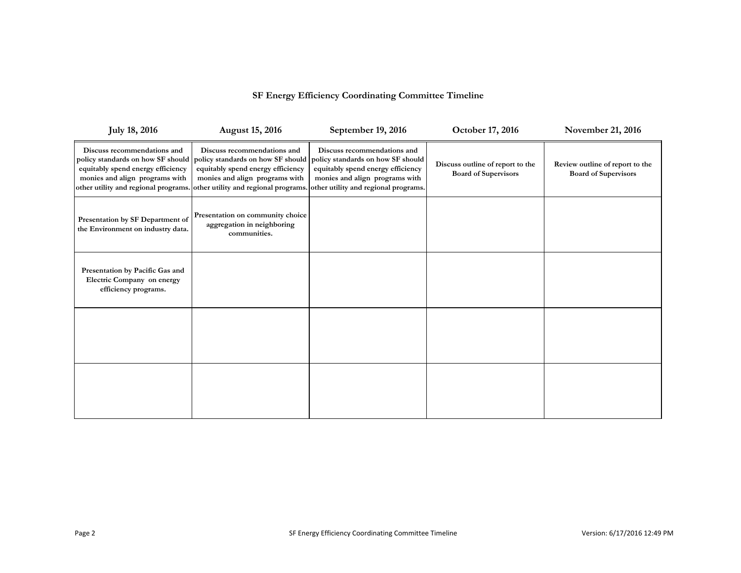## **SF Energy Efficiency Coordinating Committee Timeline**

| <b>July 18, 2016</b>                                                                                                                                                            | <b>August 15, 2016</b>                                                                                                                  | September 19, 2016                                                                                                                                                                                                   | October 17, 2016                                                | November 21, 2016                                              |
|---------------------------------------------------------------------------------------------------------------------------------------------------------------------------------|-----------------------------------------------------------------------------------------------------------------------------------------|----------------------------------------------------------------------------------------------------------------------------------------------------------------------------------------------------------------------|-----------------------------------------------------------------|----------------------------------------------------------------|
| Discuss recommendations and<br>policy standards on how SF should<br>equitably spend energy efficiency<br>monies and align programs with<br>other utility and regional programs. | Discuss recommendations and<br>policy standards on how SF should<br>equitably spend energy efficiency<br>monies and align programs with | Discuss recommendations and<br>policy standards on how SF should<br>equitably spend energy efficiency<br>monies and align programs with<br>other utility and regional programs. other utility and regional programs. | Discuss outline of report to the<br><b>Board of Supervisors</b> | Review outline of report to the<br><b>Board of Supervisors</b> |
| Presentation by SF Department of<br>the Environment on industry data.                                                                                                           | Presentation on community choice<br>aggregation in neighboring<br>communities.                                                          |                                                                                                                                                                                                                      |                                                                 |                                                                |
| Presentation by Pacific Gas and<br>Electric Company on energy<br>efficiency programs.                                                                                           |                                                                                                                                         |                                                                                                                                                                                                                      |                                                                 |                                                                |
|                                                                                                                                                                                 |                                                                                                                                         |                                                                                                                                                                                                                      |                                                                 |                                                                |
|                                                                                                                                                                                 |                                                                                                                                         |                                                                                                                                                                                                                      |                                                                 |                                                                |